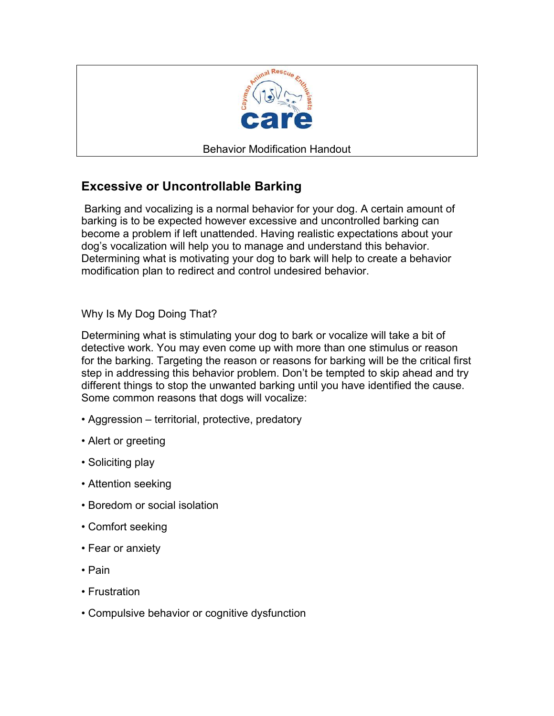

## **Excessive or Uncontrollable Barking**

 Barking and vocalizing is a normal behavior for your dog. A certain amount of barking is to be expected however excessive and uncontrolled barking can become a problem if left unattended. Having realistic expectations about your dog's vocalization will help you to manage and understand this behavior. Determining what is motivating your dog to bark will help to create a behavior modification plan to redirect and control undesired behavior.

Why Is My Dog Doing That?

Determining what is stimulating your dog to bark or vocalize will take a bit of detective work. You may even come up with more than one stimulus or reason for the barking. Targeting the reason or reasons for barking will be the critical first step in addressing this behavior problem. Don't be tempted to skip ahead and try different things to stop the unwanted barking until you have identified the cause. Some common reasons that dogs will vocalize:

- Aggression territorial, protective, predatory
- Alert or greeting
- Soliciting play
- Attention seeking
- Boredom or social isolation
- Comfort seeking
- Fear or anxiety
- Pain
- Frustration
- Compulsive behavior or cognitive dysfunction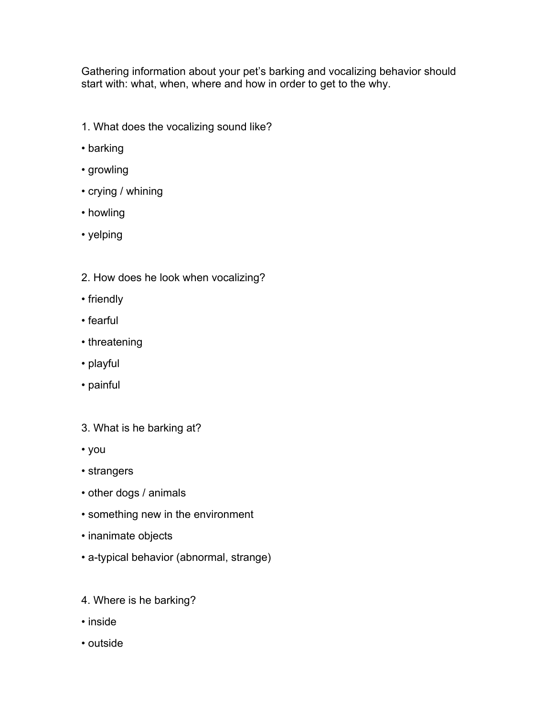Gathering information about your pet's barking and vocalizing behavior should start with: what, when, where and how in order to get to the why.

- 1. What does the vocalizing sound like?
- barking
- growling
- crying / whining
- howling
- yelping
- 2. How does he look when vocalizing?
- friendly
- fearful
- threatening
- playful
- painful
- 3. What is he barking at?
- you
- strangers
- other dogs / animals
- something new in the environment
- inanimate objects
- a-typical behavior (abnormal, strange)
- 4. Where is he barking?
- inside
- outside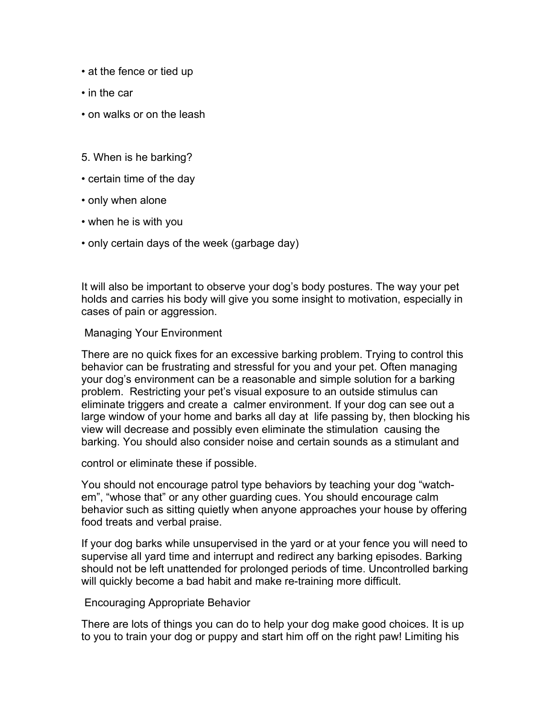- at the fence or tied up
- in the car
- on walks or on the leash
- 5. When is he barking?
- certain time of the day
- only when alone
- when he is with you
- only certain days of the week (garbage day)

It will also be important to observe your dog's body postures. The way your pet holds and carries his body will give you some insight to motivation, especially in cases of pain or aggression.

## Managing Your Environment

There are no quick fixes for an excessive barking problem. Trying to control this behavior can be frustrating and stressful for you and your pet. Often managing your dog's environment can be a reasonable and simple solution for a barking problem. Restricting your pet's visual exposure to an outside stimulus can eliminate triggers and create a calmer environment. If your dog can see out a large window of your home and barks all day at life passing by, then blocking his view will decrease and possibly even eliminate the stimulation causing the barking. You should also consider noise and certain sounds as a stimulant and

control or eliminate these if possible.

You should not encourage patrol type behaviors by teaching your dog "watchem", "whose that" or any other guarding cues. You should encourage calm behavior such as sitting quietly when anyone approaches your house by offering food treats and verbal praise.

If your dog barks while unsupervised in the yard or at your fence you will need to supervise all yard time and interrupt and redirect any barking episodes. Barking should not be left unattended for prolonged periods of time. Uncontrolled barking will quickly become a bad habit and make re-training more difficult.

## Encouraging Appropriate Behavior

There are lots of things you can do to help your dog make good choices. It is up to you to train your dog or puppy and start him off on the right paw! Limiting his